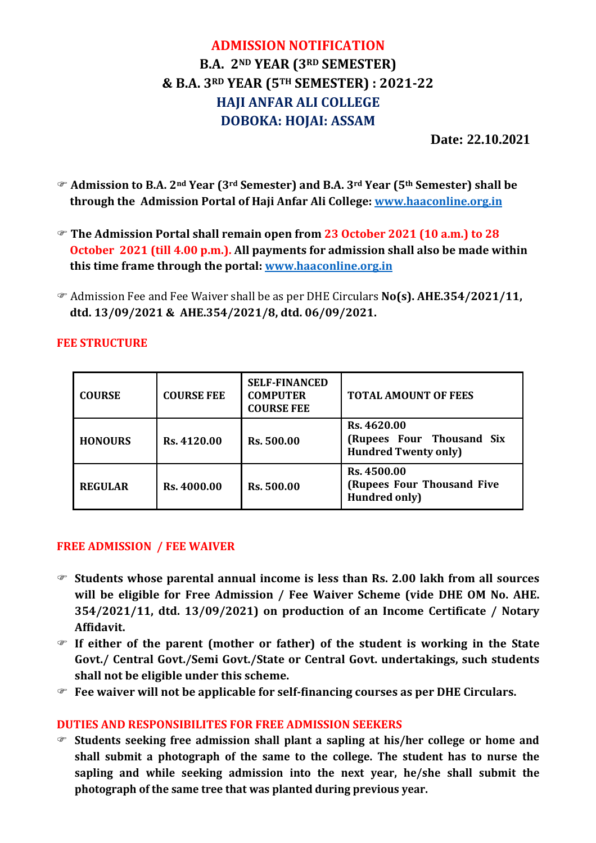# **ADMISSION NOTIFICATION B.A. 2ND YEAR (3RD SEMESTER) & B.A. 3RD YEAR (5TH SEMESTER) : 2021-22 HAJI ANFAR ALI COLLEGE DOBOKA: HOJAI: ASSAM**

 **Date: 22.10.2021** 

- **Admission to B.A. 2nd Year (3rd Semester) and B.A. 3rd Year (5th Semester) shall be through the Admission Portal of Haji Anfar Ali College: www.haaconline.org.in**
- **The Admission Portal shall remain open from 23 October 2021 (10 a.m.) to 28 October 2021 (till 4.00 p.m.). All payments for admission shall also be made within this time frame through the portal: www.haaconline.org.in**
- Admission Fee and Fee Waiver shall be as per DHE Circulars **No(s). AHE.354/2021/11, dtd. 13/09/2021 & AHE.354/2021/8, dtd. 06/09/2021.**

| <b>COURSE</b>  | <b>COURSE FEE</b> | <b>SELF-FINANCED</b><br><b>COMPUTER</b><br><b>COURSE FEE</b> | <b>TOTAL AMOUNT OF FEES</b>                                             |  |
|----------------|-------------------|--------------------------------------------------------------|-------------------------------------------------------------------------|--|
| <b>HONOURS</b> | Rs. 4120.00       | Rs. 500.00                                                   | Rs. 4620.00<br>(Rupees Four Thousand Six<br><b>Hundred Twenty only)</b> |  |
| <b>REGULAR</b> | Rs. 4000.00       | Rs. 500.00                                                   | Rs. 4500.00<br>(Rupees Four Thousand Five<br><b>Hundred only</b> )      |  |

### **FEE STRUCTURE**

#### **FREE ADMISSION / FEE WAIVER**

- **Students whose parental annual income is less than Rs. 2.00 lakh from all sources will be eligible for Free Admission / Fee Waiver Scheme (vide DHE OM No. AHE. 354/2021/11, dtd. 13/09/2021) on production of an Income Certificate / Notary Affidavit.**
- **If either of the parent (mother or father) of the student is working in the State Govt./ Central Govt./Semi Govt./State or Central Govt. undertakings, such students shall not be eligible under this scheme.**
- **Fee waiver will not be applicable for self-financing courses as per DHE Circulars.**

#### **DUTIES AND RESPONSIBILITES FOR FREE ADMISSION SEEKERS**

 **Students seeking free admission shall plant a sapling at his/her college or home and shall submit a photograph of the same to the college. The student has to nurse the sapling and while seeking admission into the next year, he/she shall submit the photograph of the same tree that was planted during previous year.**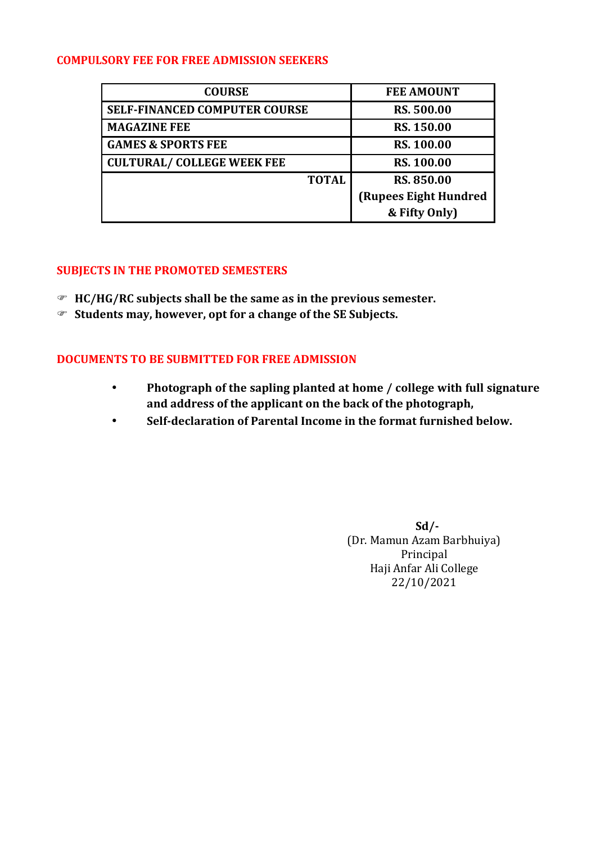#### **COMPULSORY FEE FOR FREE ADMISSION SEEKERS**

| <b>COURSE</b>                        | <b>FEE AMOUNT</b>     |  |
|--------------------------------------|-----------------------|--|
| <b>SELF-FINANCED COMPUTER COURSE</b> | <b>RS. 500.00</b>     |  |
| <b>MAGAZINE FEE</b>                  | RS. 150.00            |  |
| <b>GAMES &amp; SPORTS FEE</b>        | <b>RS. 100.00</b>     |  |
| <b>CULTURAL/ COLLEGE WEEK FEE</b>    | <b>RS. 100.00</b>     |  |
| <b>TOTAL</b>                         | <b>RS. 850.00</b>     |  |
|                                      | (Rupees Eight Hundred |  |
|                                      | & Fifty Only)         |  |

#### **SUBJECTS IN THE PROMOTED SEMESTERS**

- **HC/HG/RC subjects shall be the same as in the previous semester.**
- **Students may, however, opt for a change of the SE Subjects.**

#### **DOCUMENTS TO BE SUBMITTED FOR FREE ADMISSION**

- **Photograph of the sapling planted at home / college with full signature and address of the applicant on the back of the photograph,**
- **Self-declaration of Parental Income in the format furnished below.**

 $Sd$ <sup>-</sup> (Dr. Mamun Azam Barbhuiya) Principal Haji Anfar Ali College 22/10/2021